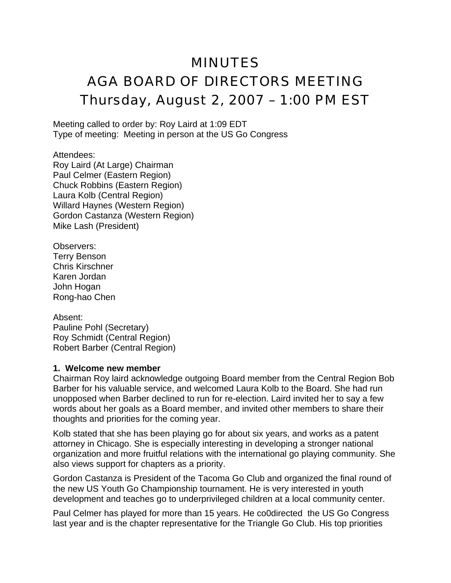# MINUTES

# AGA BOARD OF DIRECTORS MEETING Thursday, August 2, 2007 – 1:00 PM EST

Meeting called to order by: Roy Laird at 1:09 EDT Type of meeting: Meeting in person at the US Go Congress

Attendees: Roy Laird (At Large) Chairman Paul Celmer (Eastern Region) Chuck Robbins (Eastern Region) Laura Kolb (Central Region) Willard Haynes (Western Region) Gordon Castanza (Western Region) Mike Lash (President)

Observers: Terry Benson Chris Kirschner Karen Jordan John Hogan Rong-hao Chen

Absent: Pauline Pohl (Secretary) Roy Schmidt (Central Region) Robert Barber (Central Region)

#### **1. Welcome new member**

Chairman Roy laird acknowledge outgoing Board member from the Central Region Bob Barber for his valuable service, and welcomed Laura Kolb to the Board. She had run unopposed when Barber declined to run for re-election. Laird invited her to say a few words about her goals as a Board member, and invited other members to share their thoughts and priorities for the coming year.

Kolb stated that she has been playing go for about six years, and works as a patent attorney in Chicago. She is especially interesting in developing a stronger national organization and more fruitful relations with the international go playing community. She also views support for chapters as a priority.

Gordon Castanza is President of the Tacoma Go Club and organized the final round of the new US Youth Go Championship tournament. He is very interested in youth development and teaches go to underprivileged children at a local community center.

Paul Celmer has played for more than 15 years. He co0directed the US Go Congress last year and is the chapter representative for the Triangle Go Club. His top priorities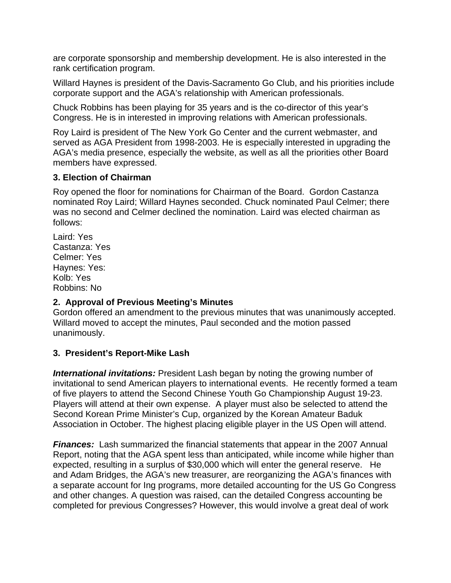are corporate sponsorship and membership development. He is also interested in the rank certification program.

Willard Haynes is president of the Davis-Sacramento Go Club, and his priorities include corporate support and the AGA's relationship with American professionals.

Chuck Robbins has been playing for 35 years and is the co-director of this year's Congress. He is in interested in improving relations with American professionals.

Roy Laird is president of The New York Go Center and the current webmaster, and served as AGA President from 1998-2003. He is especially interested in upgrading the AGA's media presence, especially the website, as well as all the priorities other Board members have expressed.

#### **3. Election of Chairman**

Roy opened the floor for nominations for Chairman of the Board. Gordon Castanza nominated Roy Laird; Willard Haynes seconded. Chuck nominated Paul Celmer; there was no second and Celmer declined the nomination. Laird was elected chairman as follows:

Laird: Yes Castanza: Yes Celmer: Yes Haynes: Yes: Kolb: Yes Robbins: No

# **2. Approval of Previous Meeting's Minutes**

Gordon offered an amendment to the previous minutes that was unanimously accepted. Willard moved to accept the minutes, Paul seconded and the motion passed unanimously.

# **3. President's Report-Mike Lash**

*International invitations:* President Lash began by noting the growing number of invitational to send American players to international events. He recently formed a team of five players to attend the Second Chinese Youth Go Championship August 19-23. Players will attend at their own expense. A player must also be selected to attend the Second Korean Prime Minister's Cup, organized by the Korean Amateur Baduk Association in October. The highest placing eligible player in the US Open will attend.

**Finances:** Lash summarized the financial statements that appear in the 2007 Annual Report, noting that the AGA spent less than anticipated, while income while higher than expected, resulting in a surplus of \$30,000 which will enter the general reserve. He and Adam Bridges, the AGA's new treasurer, are reorganizing the AGA's finances with a separate account for Ing programs, more detailed accounting for the US Go Congress and other changes. A question was raised, can the detailed Congress accounting be completed for previous Congresses? However, this would involve a great deal of work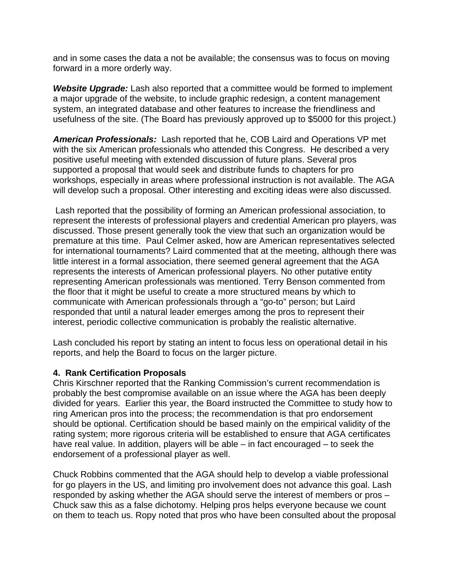and in some cases the data a not be available; the consensus was to focus on moving forward in a more orderly way.

*Website Upgrade:* Lash also reported that a committee would be formed to implement a major upgrade of the website, to include graphic redesign, a content management system, an integrated database and other features to increase the friendliness and usefulness of the site. (The Board has previously approved up to \$5000 for this project.)

*American Professionals:* Lash reported that he, COB Laird and Operations VP met with the six American professionals who attended this Congress. He described a very positive useful meeting with extended discussion of future plans. Several pros supported a proposal that would seek and distribute funds to chapters for pro workshops, especially in areas where professional instruction is not available. The AGA will develop such a proposal. Other interesting and exciting ideas were also discussed.

 Lash reported that the possibility of forming an American professional association, to represent the interests of professional players and credential American pro players, was discussed. Those present generally took the view that such an organization would be premature at this time. Paul Celmer asked, how are American representatives selected for international tournaments? Laird commented that at the meeting, although there was little interest in a formal association, there seemed general agreement that the AGA represents the interests of American professional players. No other putative entity representing American professionals was mentioned. Terry Benson commented from the floor that it might be useful to create a more structured means by which to communicate with American professionals through a "go-to" person; but Laird responded that until a natural leader emerges among the pros to represent their interest, periodic collective communication is probably the realistic alternative.

Lash concluded his report by stating an intent to focus less on operational detail in his reports, and help the Board to focus on the larger picture.

#### **4. Rank Certification Proposals**

Chris Kirschner reported that the Ranking Commission's current recommendation is probably the best compromise available on an issue where the AGA has been deeply divided for years. Earlier this year, the Board instructed the Committee to study how to ring American pros into the process; the recommendation is that pro endorsement should be optional. Certification should be based mainly on the empirical validity of the rating system; more rigorous criteria will be established to ensure that AGA certificates have real value. In addition, players will be able – in fact encouraged – to seek the endorsement of a professional player as well.

Chuck Robbins commented that the AGA should help to develop a viable professional for go players in the US, and limiting pro involvement does not advance this goal. Lash responded by asking whether the AGA should serve the interest of members or pros – Chuck saw this as a false dichotomy. Helping pros helps everyone because we count on them to teach us. Ropy noted that pros who have been consulted about the proposal